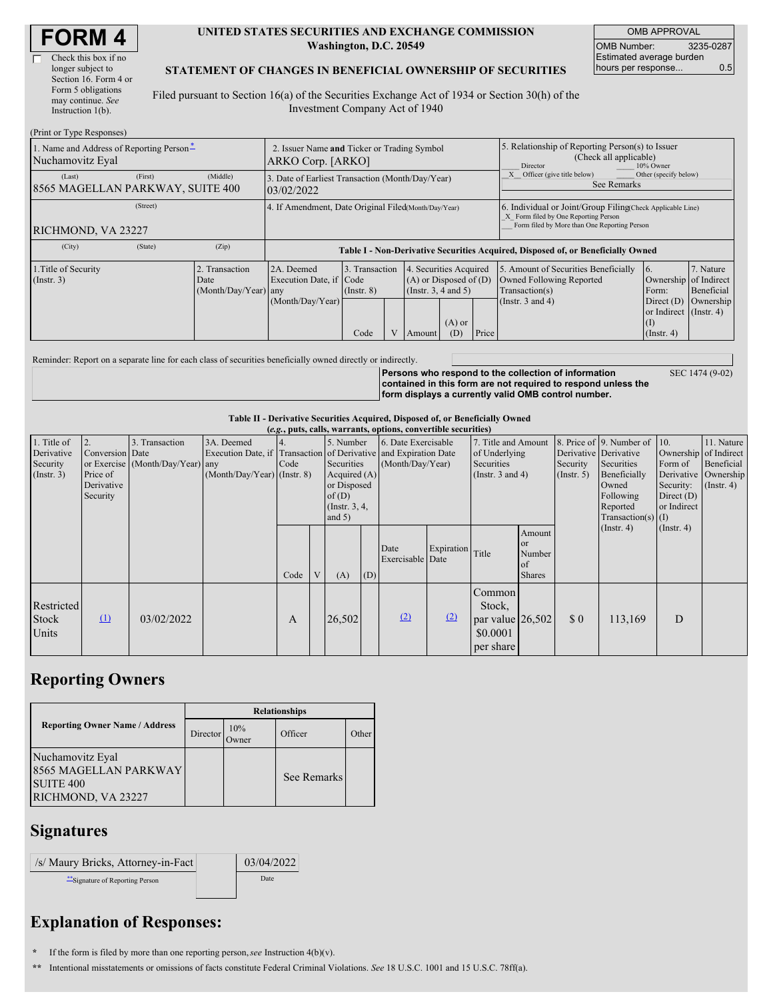| <b>FORM 4</b> |  |
|---------------|--|
|---------------|--|

| Check this box if no  |
|-----------------------|
| longer subject to     |
| Section 16. Form 4 or |
| Form 5 obligations    |
| may continue. See     |
| Instruction $1(b)$ .  |

 $(Print or True Des)$ 

#### **UNITED STATES SECURITIES AND EXCHANGE COMMISSION Washington, D.C. 20549**

OMB APPROVAL OMB Number: 3235-0287 Estimated average burden hours per response... 0.5

### **STATEMENT OF CHANGES IN BENEFICIAL OWNERSHIP OF SECURITIES**

Filed pursuant to Section 16(a) of the Securities Exchange Act of 1934 or Section 30(h) of the Investment Company Act of 1940

| $(1 \text{ line of } 1 \text{ ypc } \text{ivopounds})$       |                                                                  |                                                  |                                                                                  |                                   |                |                                                                                                     |                                                                                                                                                    |       |                                                                                                             |                                                                                |                                      |
|--------------------------------------------------------------|------------------------------------------------------------------|--------------------------------------------------|----------------------------------------------------------------------------------|-----------------------------------|----------------|-----------------------------------------------------------------------------------------------------|----------------------------------------------------------------------------------------------------------------------------------------------------|-------|-------------------------------------------------------------------------------------------------------------|--------------------------------------------------------------------------------|--------------------------------------|
| 1. Name and Address of Reporting Person-<br>Nuchamovitz Eyal | 2. Issuer Name and Ticker or Trading Symbol<br>ARKO Corp. [ARKO] |                                                  |                                                                                  |                                   |                | 5. Relationship of Reporting Person(s) to Issuer<br>(Check all applicable)<br>Director<br>10% Owner |                                                                                                                                                    |       |                                                                                                             |                                                                                |                                      |
| (Last)<br>8565 MAGELLAN PARKWAY, SUITE 400                   | 3. Date of Earliest Transaction (Month/Day/Year)<br>03/02/2022   |                                                  |                                                                                  |                                   |                |                                                                                                     | Other (specify below)<br>Officer (give title below)<br>See Remarks                                                                                 |       |                                                                                                             |                                                                                |                                      |
| RICHMOND, VA 23227                                           | 4. If Amendment, Date Original Filed Month/Day/Year)             |                                                  |                                                                                  |                                   |                |                                                                                                     | 6. Individual or Joint/Group Filing(Check Applicable Line)<br>X Form filed by One Reporting Person<br>Form filed by More than One Reporting Person |       |                                                                                                             |                                                                                |                                      |
| (City)                                                       | (State)                                                          | (Zip)                                            | Table I - Non-Derivative Securities Acquired, Disposed of, or Beneficially Owned |                                   |                |                                                                                                     |                                                                                                                                                    |       |                                                                                                             |                                                                                |                                      |
| 1. Title of Security<br>$($ Instr. 3 $)$                     |                                                                  | 2. Transaction<br>Date<br>$(Month/Day/Year)$ any | 2A. Deemed<br>Execution Date, if Code<br>(Month/Day/Year)                        | 3. Transaction<br>$($ Instr. $8)$ |                | . Securities Acquired<br>$\overline{4}$<br>$(A)$ or Disposed of $(D)$<br>(Instr. 3, 4 and 5)        |                                                                                                                                                    |       | 5. Amount of Securities Beneficially<br>Owned Following Reported<br>Transaction(s)<br>(Instr. $3$ and $4$ ) | 6.<br>Ownership of Indirect<br>Form:<br>Direct $(D)$<br>or Indirect (Instr. 4) | 7. Nature<br>Beneficial<br>Ownership |
|                                                              |                                                                  |                                                  |                                                                                  | Code                              | $\overline{V}$ | Amount                                                                                              | $(A)$ or<br>(D)                                                                                                                                    | Price |                                                                                                             | (1)<br>$($ Instr. 4)                                                           |                                      |

Reminder: Report on a separate line for each class of securities beneficially owned directly or indirectly.

**Persons who respond to the collection of information contained in this form are not required to respond unless the form displays a currently valid OMB control number.** SEC 1474 (9-02)

**Table II - Derivative Securities Acquired, Disposed of, or Beneficially Owned**

| (e.g., puts, calls, warrants, options, convertible securities) |                                                       |                                                    |                                             |              |   |                                                                                                       |     |                                                                                                             |            |                                                                             |                                        |                           |                                                                                                                                               |                                                                              |                                                                      |
|----------------------------------------------------------------|-------------------------------------------------------|----------------------------------------------------|---------------------------------------------|--------------|---|-------------------------------------------------------------------------------------------------------|-----|-------------------------------------------------------------------------------------------------------------|------------|-----------------------------------------------------------------------------|----------------------------------------|---------------------------|-----------------------------------------------------------------------------------------------------------------------------------------------|------------------------------------------------------------------------------|----------------------------------------------------------------------|
| 1. Title of<br>Derivative<br>Security<br>$($ Instr. 3 $)$      | Conversion Date<br>Price of<br>Derivative<br>Security | 3. Transaction<br>or Exercise (Month/Day/Year) any | 3A. Deemed<br>$(Month/Day/Year)$ (Instr. 8) | Code         |   | 5. Number<br><b>Securities</b><br>Acquired $(A)$<br>or Disposed<br>of(D)<br>(Instr. 3, 4,<br>and $5)$ |     | 6. Date Exercisable<br>Execution Date, if Transaction of Derivative and Expiration Date<br>(Month/Day/Year) |            | 7. Title and Amount<br>of Underlying<br>Securities<br>(Instr. $3$ and $4$ ) |                                        | Security<br>$($ Instr. 5) | 8. Price of 9. Number of 10.<br>Derivative Derivative<br>Securities<br>Beneficially<br>Owned<br>Following<br>Reported<br>$Transaction(s)$ (I) | Ownership of Indirect<br>Form of<br>Security:<br>Direct $(D)$<br>or Indirect | 11. Nature<br>Beneficial<br>Derivative Ownership<br>$($ Instr. 4 $)$ |
|                                                                |                                                       |                                                    |                                             | Code         | V | (A)                                                                                                   | (D) | Date<br>Exercisable Date                                                                                    | Expiration | Title                                                                       | Amount<br>or<br>Number<br>of<br>Shares |                           | $($ Instr. 4 $)$                                                                                                                              | $($ Instr. 4 $)$                                                             |                                                                      |
| Restricted<br>Stock<br>Units                                   | $\Omega$                                              | 03/02/2022                                         |                                             | $\mathbf{A}$ |   | 26,502                                                                                                |     | (2)                                                                                                         | (2)        | Common<br>Stock,<br>par value $ 26,502 $<br>\$0.0001<br>per share           |                                        | \$0                       | 113,169                                                                                                                                       | D                                                                            |                                                                      |

### **Reporting Owners**

|                                                                                         | <b>Relationships</b> |              |             |       |  |  |  |  |  |
|-----------------------------------------------------------------------------------------|----------------------|--------------|-------------|-------|--|--|--|--|--|
| <b>Reporting Owner Name / Address</b>                                                   | Director             | 10%<br>Owner | Officer     | Other |  |  |  |  |  |
| Nuchamovitz Eyal<br>8565 MAGELLAN PARKWAY<br>SUITE <sub>400</sub><br>RICHMOND, VA 23227 |                      |              | See Remarks |       |  |  |  |  |  |

## **Signatures**

| /s/ Maury Bricks, Attorney-in-Fact | 03/04/2022 |
|------------------------------------|------------|
| "Signature of Reporting Person     | Date       |

# **Explanation of Responses:**

**\*** If the form is filed by more than one reporting person,*see* Instruction 4(b)(v).

**\*\*** Intentional misstatements or omissions of facts constitute Federal Criminal Violations. *See* 18 U.S.C. 1001 and 15 U.S.C. 78ff(a).